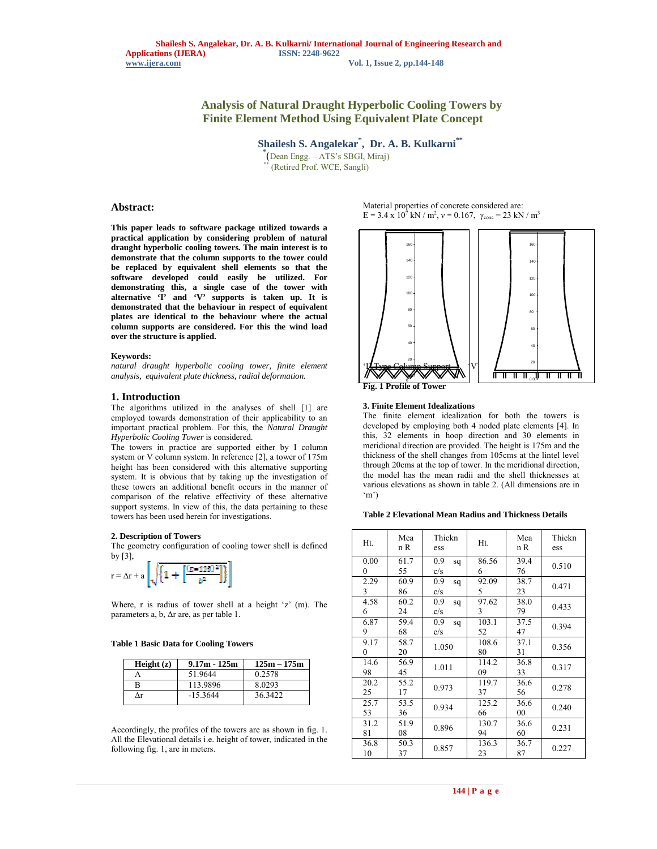# **Analysis of Natural Draught Hyperbolic Cooling Towers by Finite Element Method Using Equivalent Plate Concept**

 **Shailesh S. Angalekar\* , Dr. A. B. Kulkarni\*\***

\*(Dean Engg. – ATS's SBGI, Miraj) \*\* (Retired Prof. WCE, Sangli)

# **Abstract:**

**This paper leads to software package utilized towards a practical application by considering problem of natural draught hyperbolic cooling towers. The main interest is to demonstrate that the column supports to the tower could be replaced by equivalent shell elements so that the software developed could easily be utilized. For demonstrating this, a single case of the tower with alternative 'I' and 'V' supports is taken up. It is demonstrated that the behaviour in respect of equivalent plates are identical to the behaviour where the actual column supports are considered. For this the wind load over the structure is applied.**

#### **Keywords:**

*natural draught hyperbolic cooling tower, finite element analysis, equivalent plate thickness, radial deformation.*

# **1. Introduction**

The algorithms utilized in the analyses of shell [1] are employed towards demonstration of their applicability to an important practical problem. For this, the *Natural Draught Hyperbolic Cooling Tower* is considered.

The towers in practice are supported either by I column system or V column system. In reference [2], a tower of 175m height has been considered with this alternative supporting system. It is obvious that by taking up the investigation of these towers an additional benefit occurs in the manner of comparison of the relative effectivity of these alternative support systems. In view of this, the data pertaining to these towers has been used herein for investigations.

#### **2. Description of Towers**

The geometry configuration of cooling tower shell is defined by [3],

$$
r = \Delta r + a \left[ \sqrt{\left\{1 + \left[\frac{(z - 125)^2}{b^2}\right] \right\}} \right]
$$

Where, r is radius of tower shell at a height 'z' (m). The parameters a, b, Δr are, as per table 1.

**Table 1 Basic Data for Cooling Towers**

| Height $(z)$ | $9.17m - 125m$ | $125m - 175m$ |
|--------------|----------------|---------------|
|              | 51.9644        | 0.2578        |
| R            | 113.9896       | 80293         |
| Лr           | $-15.3644$     | 36 3422       |

Accordingly, the profiles of the towers are as shown in fig. 1. All the Elevational details i.e. height of tower, indicated in the following fig. 1, are in meters.

Material properties of concrete considered are:  $E = 3.4 \times 10^7$  kN / m<sup>2</sup>,  $v = 0.167$ ,  $\gamma_{\text{conc}} = 23$  kN / m<sup>3</sup>





#### **3. Finite Element Idealizations**

The finite element idealization for both the towers is developed by employing both 4 noded plate elements [4]. In this, 32 elements in hoop direction and 30 elements in meridional direction are provided. The height is 175m and the thickness of the shell changes from 105cms at the lintel level through 20cms at the top of tower. In the meridional direction, the model has the mean radii and the shell thicknesses at various elevations as shown in table 2. (All dimensions are in 'm')

#### **Table 2 Elevational Mean Radius and Thickness Details**

| Ht.        | Mea<br>n R | Thickn<br>ess    | Ht.         | Mea<br>n R     | Thickn<br>ess |
|------------|------------|------------------|-------------|----------------|---------------|
| 0.00<br>0  | 61.7<br>55 | 0.9<br>sq<br>c/s | 86.56<br>6  | 39.4<br>76     | 0.510         |
| 2.29<br>3  | 60.9<br>86 | 0.9<br>sq<br>c/s | 92.09<br>5  | 38.7<br>23     | 0.471         |
| 4.58<br>6  | 60.2<br>24 | 0.9<br>sq<br>c/s | 97.62<br>3  | 38.0<br>79     | 0.433         |
| 6.87<br>9  | 59.4<br>68 | 0.9<br>sq<br>c/s | 103.1<br>52 | 37.5<br>47     | 0.394         |
| 9.17<br>0  | 58.7<br>20 | 1.050            | 108.6<br>80 | 37.1<br>31     | 0.356         |
| 14.6<br>98 | 56.9<br>45 | 1.011            | 114.2<br>09 | 36.8<br>33     | 0.317         |
| 20.2<br>25 | 55.2<br>17 | 0.973            | 119.7<br>37 | 36.6<br>56     | 0.278         |
| 25.7<br>53 | 53.5<br>36 | 0.934            | 125.2<br>66 | 36.6<br>$00\,$ | 0.240         |
| 31.2<br>81 | 51.9<br>08 | 0.896            | 130.7<br>94 | 36.6<br>60     | 0.231         |
| 36.8<br>10 | 50.3<br>37 | 0.857            | 136.3<br>23 | 36.7<br>87     | 0.227         |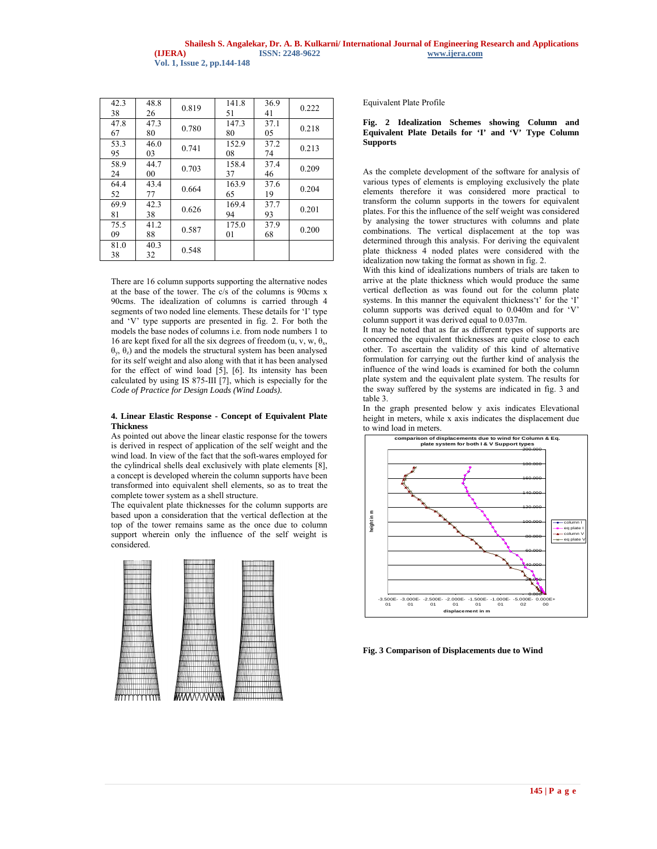| 42.3<br>38 | 48.8<br>26 | 0.819 | 141.8<br>51 | 36.9<br>41 | 0.222 |
|------------|------------|-------|-------------|------------|-------|
| 47.8<br>67 | 47.3<br>80 | 0.780 | 147.3<br>80 | 37.1<br>05 | 0.218 |
| 53.3<br>95 | 46.0<br>03 | 0.741 | 152.9<br>08 | 37.2<br>74 | 0.213 |
| 58.9<br>24 | 44.7<br>00 | 0.703 | 158.4<br>37 | 37.4<br>46 | 0.209 |
| 64.4<br>52 | 43.4<br>77 | 0.664 | 163.9<br>65 | 37.6<br>19 | 0.204 |
| 69.9<br>81 | 42.3<br>38 | 0.626 | 169.4<br>94 | 37.7<br>93 | 0.201 |
| 75.5<br>09 | 41.2<br>88 | 0.587 | 175.0<br>01 | 37.9<br>68 | 0.200 |
| 81.0<br>38 | 40.3<br>32 | 0.548 |             |            |       |

There are 16 column supports supporting the alternative nodes at the base of the tower. The c/s of the columns is 90cms x 90cms. The idealization of columns is carried through 4 segments of two noded line elements. These details for 'I' type and 'V' type supports are presented in fig. 2. For both the models the base nodes of columns i.e. from node numbers 1 to 16 are kept fixed for all the six degrees of freedom (u, v, w,  $\theta_x$ , θy, θz) and the models the structural system has been analysed for its self weight and also along with that it has been analysed for the effect of wind load [5], [6]. Its intensity has been calculated by using IS 875-III [7], which is especially for the *Code of Practice for Design Loads (Wind Loads).*

## **4. Linear Elastic Response - Concept of Equivalent Plate Thickness**

As pointed out above the linear elastic response for the towers is derived in respect of application of the self weight and the wind load. In view of the fact that the soft-wares employed for the cylindrical shells deal exclusively with plate elements [8], a concept is developed wherein the column supports have been transformed into equivalent shell elements, so as to treat the complete tower system as a shell structure.

The equivalent plate thicknesses for the column supports are based upon a consideration that the vertical deflection at the top of the tower remains same as the once due to column support wherein only the influence of the self weight is considered.



Equivalent Plate Profile

## **Fig. 2 Idealization Schemes showing Column and Equivalent Plate Details for 'I' and 'V' Type Column Supports**

As the complete development of the software for analysis of various types of elements is employing exclusively the plate elements therefore it was considered more practical to transform the column supports in the towers for equivalent plates. For this the influence of the self weight was considered by analysing the tower structures with columns and plate combinations. The vertical displacement at the top was determined through this analysis. For deriving the equivalent plate thickness 4 noded plates were considered with the idealization now taking the format as shown in fig. 2.

With this kind of idealizations numbers of trials are taken to arrive at the plate thickness which would produce the same vertical deflection as was found out for the column plate systems. In this manner the equivalent thickness't' for the 'I' column supports was derived equal to 0.040m and for 'V' column support it was derived equal to 0.037m.

It may be noted that as far as different types of supports are concerned the equivalent thicknesses are quite close to each other. To ascertain the validity of this kind of alternative formulation for carrying out the further kind of analysis the influence of the wind loads is examined for both the column plate system and the equivalent plate system. The results for the sway suffered by the systems are indicated in fig. 3 and table 3.

In the graph presented below y axis indicates Elevational height in meters, while x axis indicates the displacement due to wind load in meters.



**Fig. 3 Comparison of Displacements due to Wind**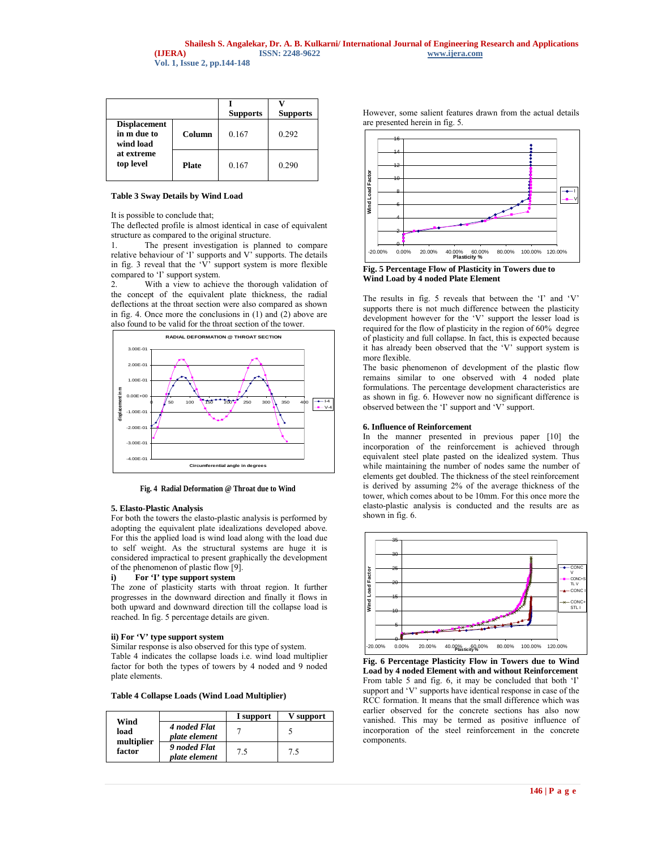|                                                                            |              | <b>Supports</b> | <b>Supports</b> |
|----------------------------------------------------------------------------|--------------|-----------------|-----------------|
| <b>Displacement</b><br>in m due to<br>wind load<br>at extreme<br>top level | Column       | 0.167           | 0.292           |
|                                                                            | <b>Plate</b> | 0.167           | 0.290           |

#### **Table 3 Sway Details by Wind Load**

It is possible to conclude that;

The deflected profile is almost identical in case of equivalent structure as compared to the original structure.

1. The present investigation is planned to compare relative behaviour of 'I' supports and V' supports. The details in fig. 3 reveal that the  $\hat{V}$  support system is more flexible compared to 'I' support system.

2. With a view to achieve the thorough validation of the concept of the equivalent plate thickness, the radial deflections at the throat section were also compared as shown in fig. 4. Once more the conclusions in (1) and (2) above are also found to be valid for the throat section of the tower.



**Fig. 4 Radial Deformation @ Throat due to Wind**

#### **5. Elasto-Plastic Analysis**

For both the towers the elasto-plastic analysis is performed by adopting the equivalent plate idealizations developed above. For this the applied load is wind load along with the load due to self weight. As the structural systems are huge it is considered impractical to present graphically the development of the phenomenon of plastic flow [9].

## **i) For 'I' type support system**

The zone of plasticity starts with throat region. It further progresses in the downward direction and finally it flows in both upward and downward direction till the collapse load is reached. In fig. 5 percentage details are given.

#### **ii) For 'V' type support system**

Similar response is also observed for this type of system. Table 4 indicates the collapse loads i.e. wind load multiplier factor for both the types of towers by 4 noded and 9 noded plate elements.

**Table 4 Collapse Loads (Wind Load Multiplier)**

|                                      |                               | I support | V support |
|--------------------------------------|-------------------------------|-----------|-----------|
| Wind<br>load<br>multiplier<br>factor | 4 noded Flat<br>plate element |           |           |
|                                      | 9 noded Flat<br>plate element | 7.5       | 7.5       |

However, some salient features drawn from the actual details are presented herein in fig. 5.



**Fig. 5 Percentage Flow of Plasticity in Towers due to Wind Load by 4 noded Plate Element**

The results in fig. 5 reveals that between the 'I' and 'V' supports there is not much difference between the plasticity development however for the 'V' support the lesser load is required for the flow of plasticity in the region of 60% degree of plasticity and full collapse. In fact, this is expected because it has already been observed that the 'V' support system is more flexible.

The basic phenomenon of development of the plastic flow remains similar to one observed with 4 noded plate formulations. The percentage development characteristics are as shown in fig. 6. However now no significant difference is observed between the 'I' support and 'V' support.

#### **6. Influence of Reinforcement**

In the manner presented in previous paper [10] the incorporation of the reinforcement is achieved through equivalent steel plate pasted on the idealized system. Thus while maintaining the number of nodes same the number of elements get doubled. The thickness of the steel reinforcement is derived by assuming 2% of the average thickness of the tower, which comes about to be 10mm. For this once more the elasto-plastic analysis is conducted and the results are as shown in fig. 6.



**Fig. 6 Percentage Plasticity Flow in Towers due to Wind Load by 4 noded Element with and without Reinforcement** From table 5 and fig. 6, it may be concluded that both 'I' support and 'V' supports have identical response in case of the RCC formation. It means that the small difference which was earlier observed for the concrete sections has also now vanished. This may be termed as positive influence of incorporation of the steel reinforcement in the concrete components.